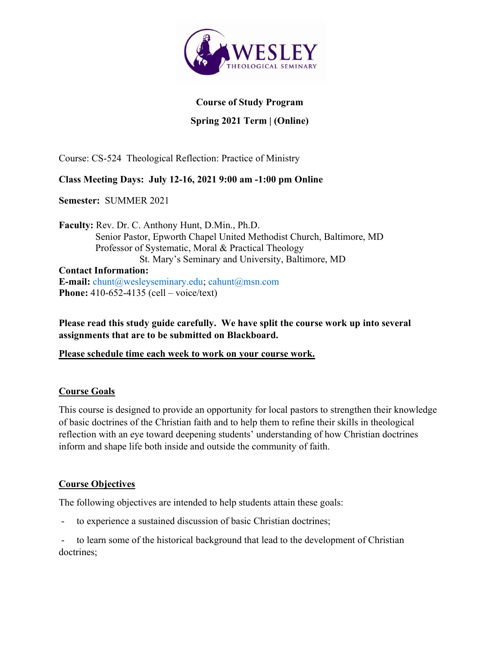

#### Course of Study Program

## Spring 2021 Term | (Online)

Course: CS-524 Theological Reflection: Practice of Ministry

## Class Meeting Days: July 12-16, 2021 9:00 am -1:00 pm Online

Semester: SUMMER 2021

Faculty: Rev. Dr. C. Anthony Hunt, D.Min., Ph.D. Senior Pastor, Epworth Chapel United Methodist Church, Baltimore, MD Professor of Systematic, Moral & Practical Theology St. Mary's Seminary and University, Baltimore, MD Contact Information: **E-mail:** chunt@wesleyseminary.edu; cahunt@msn.com Phone: 410-652-4135 (cell – voice/text)

Please read this study guide carefully. We have split the course work up into several assignments that are to be submitted on Blackboard.

Please schedule time each week to work on your course work.

### Course Goals

This course is designed to provide an opportunity for local pastors to strengthen their knowledge of basic doctrines of the Christian faith and to help them to refine their skills in theological reflection with an eye toward deepening students' understanding of how Christian doctrines inform and shape life both inside and outside the community of faith.

### Course Objectives

The following objectives are intended to help students attain these goals:

- to experience a sustained discussion of basic Christian doctrines;

to learn some of the historical background that lead to the development of Christian doctrines;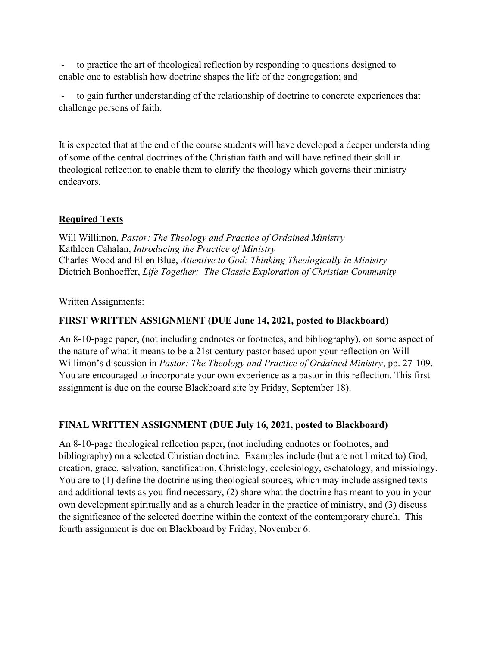to practice the art of theological reflection by responding to questions designed to enable one to establish how doctrine shapes the life of the congregation; and

to gain further understanding of the relationship of doctrine to concrete experiences that challenge persons of faith.

It is expected that at the end of the course students will have developed a deeper understanding of some of the central doctrines of the Christian faith and will have refined their skill in theological reflection to enable them to clarify the theology which governs their ministry endeavors.

# Required Texts

Will Willimon, Pastor: The Theology and Practice of Ordained Ministry Kathleen Cahalan, Introducing the Practice of Ministry Charles Wood and Ellen Blue, Attentive to God: Thinking Theologically in Ministry Dietrich Bonhoeffer, Life Together: The Classic Exploration of Christian Community

Written Assignments:

## FIRST WRITTEN ASSIGNMENT (DUE June 14, 2021, posted to Blackboard)

An 8-10-page paper, (not including endnotes or footnotes, and bibliography), on some aspect of the nature of what it means to be a 21st century pastor based upon your reflection on Will Willimon's discussion in *Pastor: The Theology and Practice of Ordained Ministry*, pp. 27-109. You are encouraged to incorporate your own experience as a pastor in this reflection. This first assignment is due on the course Blackboard site by Friday, September 18).

# FINAL WRITTEN ASSIGNMENT (DUE July 16, 2021, posted to Blackboard)

An 8-10-page theological reflection paper, (not including endnotes or footnotes, and bibliography) on a selected Christian doctrine. Examples include (but are not limited to) God, creation, grace, salvation, sanctification, Christology, ecclesiology, eschatology, and missiology. You are to (1) define the doctrine using theological sources, which may include assigned texts and additional texts as you find necessary, (2) share what the doctrine has meant to you in your own development spiritually and as a church leader in the practice of ministry, and (3) discuss the significance of the selected doctrine within the context of the contemporary church. This fourth assignment is due on Blackboard by Friday, November 6.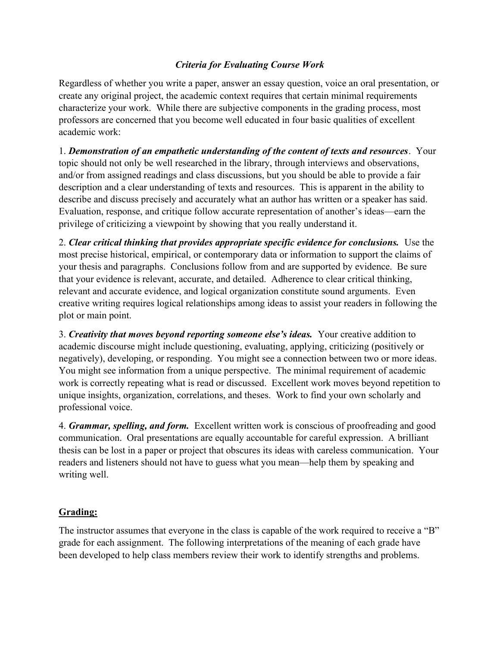## Criteria for Evaluating Course Work

Regardless of whether you write a paper, answer an essay question, voice an oral presentation, or create any original project, the academic context requires that certain minimal requirements characterize your work. While there are subjective components in the grading process, most professors are concerned that you become well educated in four basic qualities of excellent academic work:

1. Demonstration of an empathetic understanding of the content of texts and resources. Your topic should not only be well researched in the library, through interviews and observations, and/or from assigned readings and class discussions, but you should be able to provide a fair description and a clear understanding of texts and resources. This is apparent in the ability to describe and discuss precisely and accurately what an author has written or a speaker has said. Evaluation, response, and critique follow accurate representation of another's ideas—earn the privilege of criticizing a viewpoint by showing that you really understand it.

2. Clear critical thinking that provides appropriate specific evidence for conclusions. Use the most precise historical, empirical, or contemporary data or information to support the claims of your thesis and paragraphs. Conclusions follow from and are supported by evidence. Be sure that your evidence is relevant, accurate, and detailed. Adherence to clear critical thinking, relevant and accurate evidence, and logical organization constitute sound arguments. Even creative writing requires logical relationships among ideas to assist your readers in following the plot or main point.

3. Creativity that moves beyond reporting someone else's ideas. Your creative addition to academic discourse might include questioning, evaluating, applying, criticizing (positively or negatively), developing, or responding. You might see a connection between two or more ideas. You might see information from a unique perspective. The minimal requirement of academic work is correctly repeating what is read or discussed. Excellent work moves beyond repetition to unique insights, organization, correlations, and theses. Work to find your own scholarly and professional voice.

4. Grammar, spelling, and form. Excellent written work is conscious of proofreading and good communication. Oral presentations are equally accountable for careful expression. A brilliant thesis can be lost in a paper or project that obscures its ideas with careless communication. Your readers and listeners should not have to guess what you mean—help them by speaking and writing well.

### Grading:

The instructor assumes that everyone in the class is capable of the work required to receive a "B" grade for each assignment. The following interpretations of the meaning of each grade have been developed to help class members review their work to identify strengths and problems.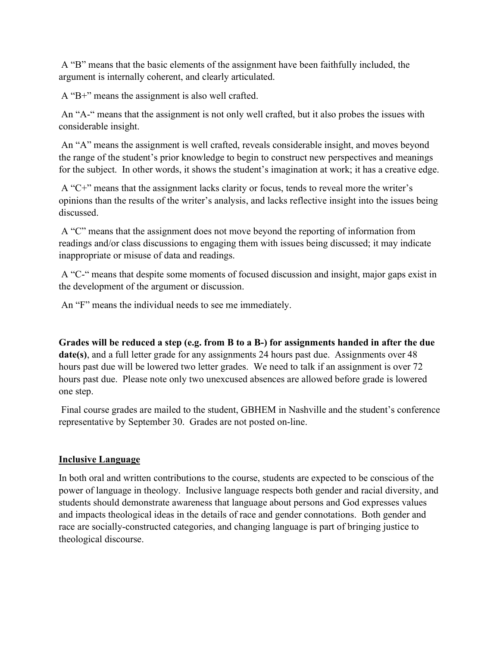A "B" means that the basic elements of the assignment have been faithfully included, the argument is internally coherent, and clearly articulated.

A "B+" means the assignment is also well crafted.

 An "A-" means that the assignment is not only well crafted, but it also probes the issues with considerable insight.

 An "A" means the assignment is well crafted, reveals considerable insight, and moves beyond the range of the student's prior knowledge to begin to construct new perspectives and meanings for the subject. In other words, it shows the student's imagination at work; it has a creative edge.

 A "C+" means that the assignment lacks clarity or focus, tends to reveal more the writer's opinions than the results of the writer's analysis, and lacks reflective insight into the issues being discussed.

 A "C" means that the assignment does not move beyond the reporting of information from readings and/or class discussions to engaging them with issues being discussed; it may indicate inappropriate or misuse of data and readings.

 A "C-" means that despite some moments of focused discussion and insight, major gaps exist in the development of the argument or discussion.

An "F" means the individual needs to see me immediately.

Grades will be reduced a step (e.g. from B to a B-) for assignments handed in after the due date(s), and a full letter grade for any assignments 24 hours past due. Assignments over 48 hours past due will be lowered two letter grades. We need to talk if an assignment is over 72 hours past due. Please note only two unexcused absences are allowed before grade is lowered one step.

 Final course grades are mailed to the student, GBHEM in Nashville and the student's conference representative by September 30. Grades are not posted on-line.

### Inclusive Language

In both oral and written contributions to the course, students are expected to be conscious of the power of language in theology. Inclusive language respects both gender and racial diversity, and students should demonstrate awareness that language about persons and God expresses values and impacts theological ideas in the details of race and gender connotations. Both gender and race are socially-constructed categories, and changing language is part of bringing justice to theological discourse.